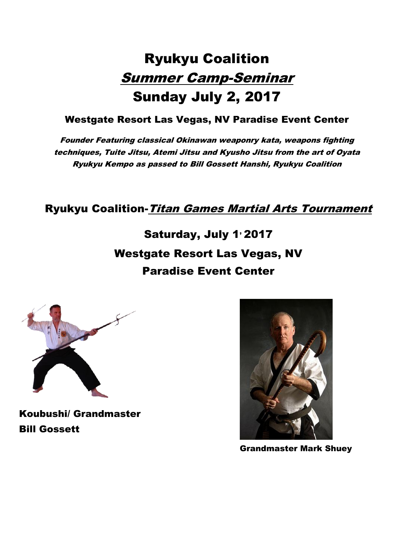# Ryukyu Coalition Summer Camp-Seminar Sunday July 2, 2017

#### Westgate Resort Las Vegas, NV Paradise Event Center

Founder Featuring classical Okinawan weaponry kata, weapons fighting techniques, Tuite Jitsu, Atemi Jitsu and Kyusho Jitsu from the art of Oyata Ryukyu Kempo as passed to Bill Gossett Hanshi, Ryukyu Coalition

#### Ryukyu Coalition-*Titan Games Martial Arts Tournament*

Saturday, July 1<sup>,</sup> 2017 Westgate Resort Las Vegas, NV Paradise Event Center



Koubushi/ Grandmaster Bill Gossett



Grandmaster Mark Shuey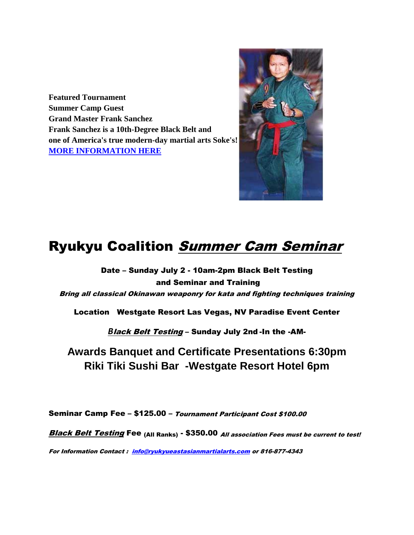**Featured Tournament Summer Camp Guest Grand Master Frank Sanchez Frank Sanchez is a 10th-Degree Black Belt and one of America's true modern-day martial arts Soke's! [MORE INFORMATION HERE](http://www.san-jitsu.com/)**



## **Ryukyu Coalition Summer Cam Seminar**

Date – Sunday July 2 - 10am-2pm Black Belt Testing and Seminar and Training Bring all classical Okinawan weaponry for kata and fighting techniques training

Location Westgate Resort Las Vegas, NV Paradise Event Center

*B*lack Belt Testing – Sunday July 2nd -In the -AM-

**Awards Banquet and Certificate Presentations 6:30pm Riki Tiki Sushi Bar -Westgate Resort Hotel 6pm**

Seminar Camp Fee – \$125.00 – Tournament Participant Cost \$100.00

Black Belt Testing Fee (All Ranks) - \$350.00 All association Fees must be current to test!

For Information Contact : [info@ryukyueastasianmartialarts.com](mailto:info@ryukyueastasianmartialarts.com) or 816-877-4343